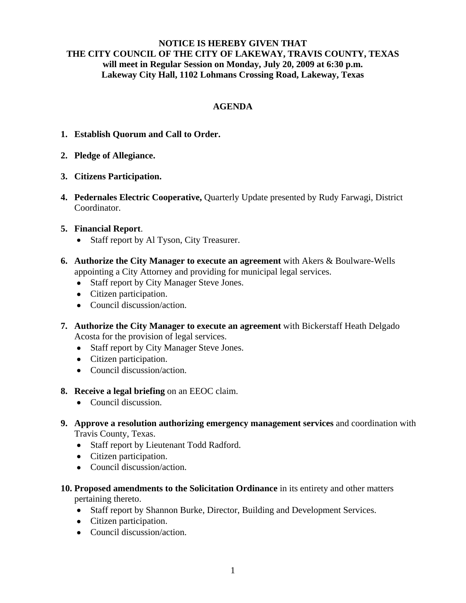## **NOTICE IS HEREBY GIVEN THAT THE CITY COUNCIL OF THE CITY OF LAKEWAY, TRAVIS COUNTY, TEXAS will meet in Regular Session on Monday, July 20, 2009 at 6:30 p.m. Lakeway City Hall, 1102 Lohmans Crossing Road, Lakeway, Texas**

# **AGENDA**

- **1. Establish Quorum and Call to Order.**
- **2. Pledge of Allegiance.**
- **3. Citizens Participation.**
- **4. Pedernales Electric Cooperative,** Quarterly Update presented by Rudy Farwagi, District Coordinator.

## **5. Financial Report**.

- Staff report by Al Tyson, City Treasurer.
- **6. Authorize the City Manager to execute an agreement** with Akers & Boulware-Wells appointing a City Attorney and providing for municipal legal services.
	- Staff report by City Manager Steve Jones.
	- Citizen participation.
	- Council discussion/action.
- **7. Authorize the City Manager to execute an agreement** with Bickerstaff Heath Delgado Acosta for the provision of legal services.
	- Staff report by City Manager Steve Jones.
	- Citizen participation.
	- Council discussion/action.
- **8. Receive a legal briefing** on an EEOC claim.
	- Council discussion.
- **9. Approve a resolution authorizing emergency management services** and coordination with Travis County, Texas.
	- Staff report by Lieutenant Todd Radford.
	- Citizen participation.
	- Council discussion/action.
- **10. Proposed amendments to the Solicitation Ordinance** in its entirety and other matters pertaining thereto.
	- Staff report by Shannon Burke, Director, Building and Development Services.
	- Citizen participation.
	- Council discussion/action.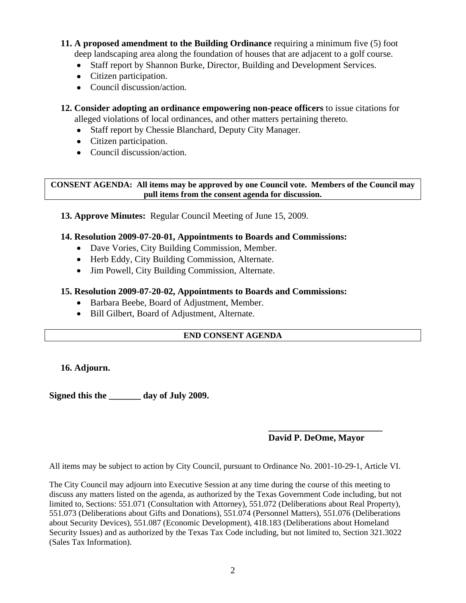**11. A proposed amendment to the Building Ordinance** requiring a minimum five (5) foot deep landscaping area along the foundation of houses that are adjacent to a golf course.

- Staff report by Shannon Burke, Director, Building and Development Services.
- Citizen participation.
- Council discussion/action.
- **12. Consider adopting an ordinance empowering non-peace officers** to issue citations for alleged violations of local ordinances, and other matters pertaining thereto.
	- Staff report by Chessie Blanchard, Deputy City Manager.
	- Citizen participation.
	- Council discussion/action.

**CONSENT AGENDA: All items may be approved by one Council vote. Members of the Council may pull items from the consent agenda for discussion.** 

**13. Approve Minutes:** Regular Council Meeting of June 15, 2009.

## **14. Resolution 2009-07-20-01, Appointments to Boards and Commissions:**

- Dave Vories, City Building Commission, Member.
- Herb Eddy, City Building Commission, Alternate.
- Jim Powell, City Building Commission, Alternate.

## **15. Resolution 2009-07-20-02, Appointments to Boards and Commissions:**

- Barbara Beebe, Board of Adjustment, Member.
- Bill Gilbert, Board of Adjustment, Alternate.

#### **END CONSENT AGENDA**

#### **16. Adjourn.**

**Signed this the \_\_\_\_\_\_\_ day of July 2009.** 

# **David P. DeOme, Mayor**

All items may be subject to action by City Council, pursuant to Ordinance No. 2001-10-29-1, Article VI.

 **\_\_\_\_\_\_\_\_\_\_\_\_\_\_\_\_\_\_\_\_\_\_\_\_\_**

The City Council may adjourn into Executive Session at any time during the course of this meeting to discuss any matters listed on the agenda, as authorized by the Texas Government Code including, but not limited to, Sections: 551.071 (Consultation with Attorney), 551.072 (Deliberations about Real Property), 551.073 (Deliberations about Gifts and Donations), 551.074 (Personnel Matters), 551.076 (Deliberations about Security Devices), 551.087 (Economic Development), 418.183 (Deliberations about Homeland Security Issues) and as authorized by the Texas Tax Code including, but not limited to, Section 321.3022 (Sales Tax Information).